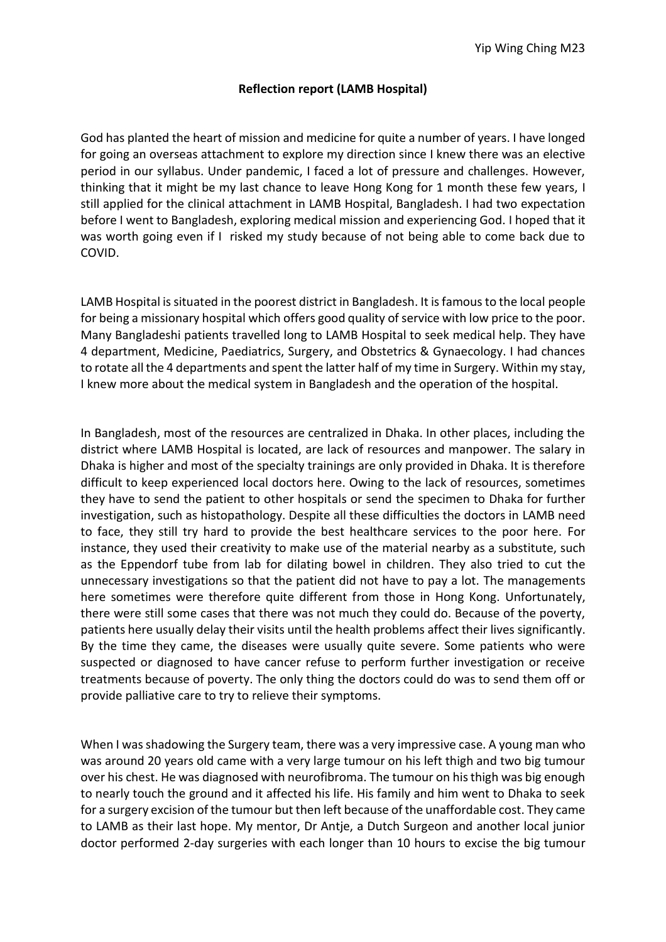## **Reflection report (LAMB Hospital)**

God has planted the heart of mission and medicine for quite a number of years. I have longed for going an overseas attachment to explore my direction since I knew there was an elective period in our syllabus. Under pandemic, I faced a lot of pressure and challenges. However, thinking that it might be my last chance to leave Hong Kong for 1 month these few years, I still applied for the clinical attachment in LAMB Hospital, Bangladesh. I had two expectation before I went to Bangladesh, exploring medical mission and experiencing God. I hoped that it was worth going even if I risked my study because of not being able to come back due to COVID.

LAMB Hospital is situated in the poorest district in Bangladesh. It is famous to the local people for being a missionary hospital which offers good quality of service with low price to the poor. Many Bangladeshi patients travelled long to LAMB Hospital to seek medical help. They have 4 department, Medicine, Paediatrics, Surgery, and Obstetrics & Gynaecology. I had chances to rotate all the 4 departments and spent the latter half of my time in Surgery. Within my stay, I knew more about the medical system in Bangladesh and the operation of the hospital.

In Bangladesh, most of the resources are centralized in Dhaka. In other places, including the district where LAMB Hospital is located, are lack of resources and manpower. The salary in Dhaka is higher and most of the specialty trainings are only provided in Dhaka. It is therefore difficult to keep experienced local doctors here. Owing to the lack of resources, sometimes they have to send the patient to other hospitals or send the specimen to Dhaka for further investigation, such as histopathology. Despite all these difficulties the doctors in LAMB need to face, they still try hard to provide the best healthcare services to the poor here. For instance, they used their creativity to make use of the material nearby as a substitute, such as the Eppendorf tube from lab for dilating bowel in children. They also tried to cut the unnecessary investigations so that the patient did not have to pay a lot. The managements here sometimes were therefore quite different from those in Hong Kong. Unfortunately, there were still some cases that there was not much they could do. Because of the poverty, patients here usually delay their visits until the health problems affect their lives significantly. By the time they came, the diseases were usually quite severe. Some patients who were suspected or diagnosed to have cancer refuse to perform further investigation or receive treatments because of poverty. The only thing the doctors could do was to send them off or provide palliative care to try to relieve their symptoms.

When I was shadowing the Surgery team, there was a very impressive case. A young man who was around 20 years old came with a very large tumour on his left thigh and two big tumour over his chest. He was diagnosed with neurofibroma. The tumour on his thigh was big enough to nearly touch the ground and it affected his life. His family and him went to Dhaka to seek for a surgery excision of the tumour but then left because of the unaffordable cost. They came to LAMB as their last hope. My mentor, Dr Antje, a Dutch Surgeon and another local junior doctor performed 2-day surgeries with each longer than 10 hours to excise the big tumour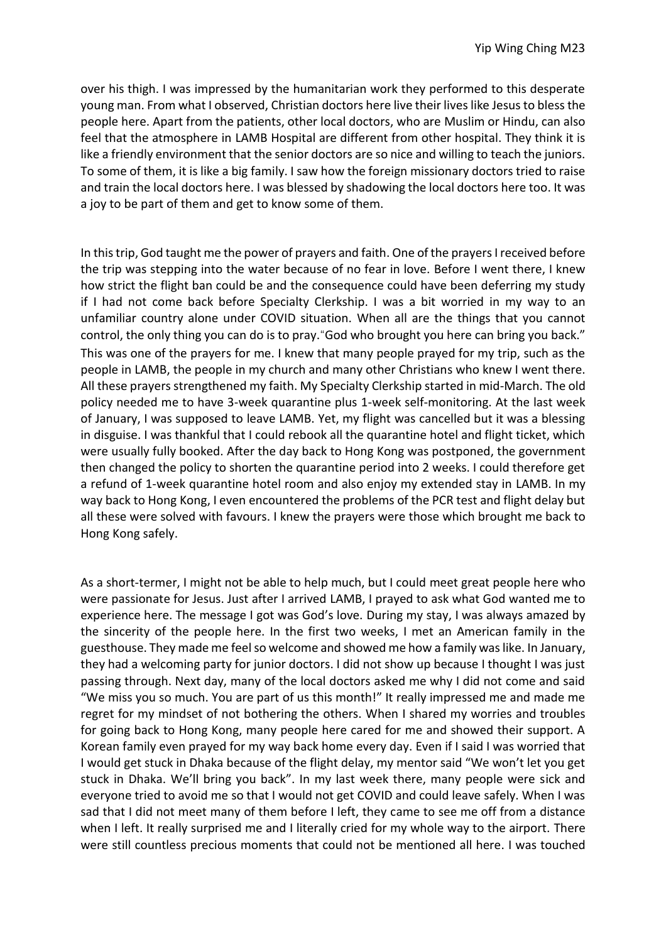over his thigh. I was impressed by the humanitarian work they performed to this desperate young man. From what I observed, Christian doctors here live their lives like Jesus to bless the people here. Apart from the patients, other local doctors, who are Muslim or Hindu, can also feel that the atmosphere in LAMB Hospital are different from other hospital. They think it is like a friendly environment that the senior doctors are so nice and willing to teach the juniors. To some of them, it is like a big family. I saw how the foreign missionary doctors tried to raise and train the local doctors here. I was blessed by shadowing the local doctors here too. It was a joy to be part of them and get to know some of them.

In this trip, God taught me the power of prayers and faith. One of the prayers I received before the trip was stepping into the water because of no fear in love. Before I went there, I knew how strict the flight ban could be and the consequence could have been deferring my study if I had not come back before Specialty Clerkship. I was a bit worried in my way to an unfamiliar country alone under COVID situation. When all are the things that you cannot control, the only thing you can do is to pray."God who brought you here can bring you back." This was one of the prayers for me. I knew that many people prayed for my trip, such as the people in LAMB, the people in my church and many other Christians who knew I went there. All these prayers strengthened my faith. My Specialty Clerkship started in mid-March. The old policy needed me to have 3-week quarantine plus 1-week self-monitoring. At the last week of January, I was supposed to leave LAMB. Yet, my flight was cancelled but it was a blessing in disguise. I was thankful that I could rebook all the quarantine hotel and flight ticket, which were usually fully booked. After the day back to Hong Kong was postponed, the government then changed the policy to shorten the quarantine period into 2 weeks. I could therefore get a refund of 1-week quarantine hotel room and also enjoy my extended stay in LAMB. In my way back to Hong Kong, I even encountered the problems of the PCR test and flight delay but all these were solved with favours. I knew the prayers were those which brought me back to Hong Kong safely.

As a short-termer, I might not be able to help much, but I could meet great people here who were passionate for Jesus. Just after I arrived LAMB, I prayed to ask what God wanted me to experience here. The message I got was God's love. During my stay, I was always amazed by the sincerity of the people here. In the first two weeks, I met an American family in the guesthouse. They made me feel so welcome and showed me how a family was like. In January, they had a welcoming party for junior doctors. I did not show up because I thought I was just passing through. Next day, many of the local doctors asked me why I did not come and said "We miss you so much. You are part of us this month!" It really impressed me and made me regret for my mindset of not bothering the others. When I shared my worries and troubles for going back to Hong Kong, many people here cared for me and showed their support. A Korean family even prayed for my way back home every day. Even if I said I was worried that I would get stuck in Dhaka because of the flight delay, my mentor said "We won't let you get stuck in Dhaka. We'll bring you back". In my last week there, many people were sick and everyone tried to avoid me so that I would not get COVID and could leave safely. When I was sad that I did not meet many of them before I left, they came to see me off from a distance when I left. It really surprised me and I literally cried for my whole way to the airport. There were still countless precious moments that could not be mentioned all here. I was touched